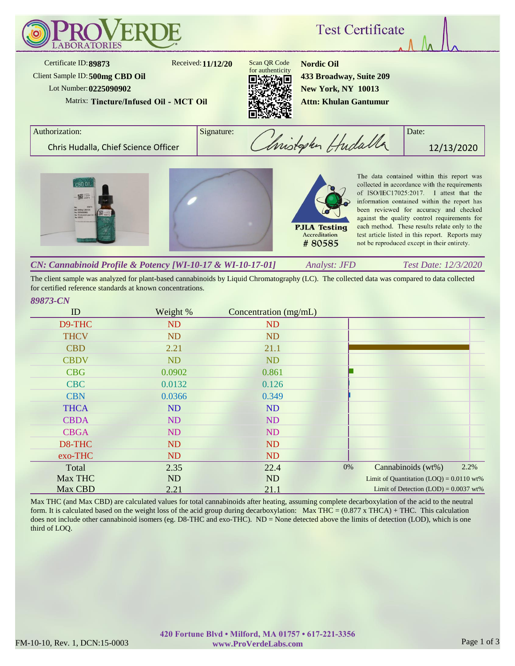

The client sample was analyzed for plant-based cannabinoids by Liquid Chromatography (LC). The collected data was compared to data collected for certified reference standards at known concentrations.

| ID          | Weight %  | Concentration (mg/mL) |                                            |
|-------------|-----------|-----------------------|--------------------------------------------|
| D9-THC      | <b>ND</b> | <b>ND</b>             |                                            |
| <b>THCV</b> | <b>ND</b> | <b>ND</b>             |                                            |
| <b>CBD</b>  | 2.21      | 21.1                  |                                            |
| <b>CBDV</b> | <b>ND</b> | <b>ND</b>             |                                            |
| <b>CBG</b>  | 0.0902    | 0.861                 |                                            |
| <b>CBC</b>  | 0.0132    | 0.126                 |                                            |
| <b>CBN</b>  | 0.0366    | 0.349                 |                                            |
| <b>THCA</b> | <b>ND</b> | <b>ND</b>             |                                            |
| <b>CBDA</b> | <b>ND</b> | <b>ND</b>             |                                            |
| <b>CBGA</b> | <b>ND</b> | ND                    |                                            |
| D8-THC      | <b>ND</b> | <b>ND</b>             |                                            |
| exo-THC     | <b>ND</b> | <b>ND</b>             |                                            |
| Total       | 2.35      | 22.4                  | 2.2%<br>0%<br>Cannabinoids (wt%)           |
| Max THC     | ND        | ND                    | Limit of Quantitation $(LOQ) = 0.0110$ wt% |
| Max CBD     | 2.21      | 21.1                  | Limit of Detection $(LOD) = 0.0037$ wt%    |

Max THC (and Max CBD) are calculated values for total cannabinoids after heating, assuming complete decarboxylation of the acid to the neutral form. It is calculated based on the weight loss of the acid group during decarboxylation: Max THC =  $(0.877 \times THCA) + THC$ . This calculation does not include other cannabinoid isomers (eg. D8-THC and exo-THC). ND = None detected above the limits of detection (LOD), which is one third of LOQ.

*89873-CN*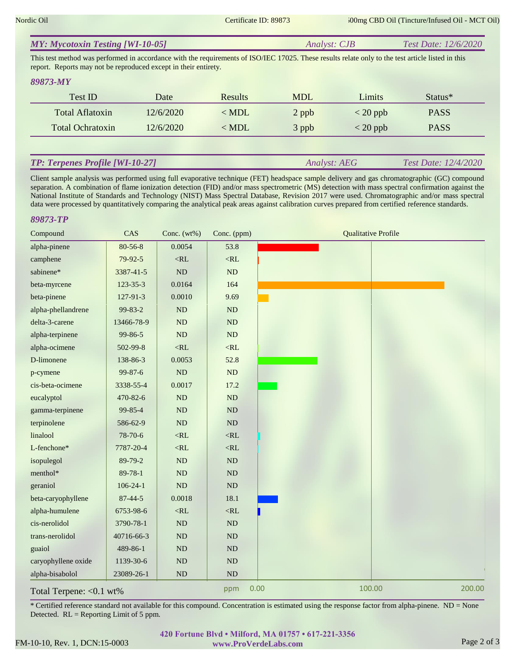| <b>MY: Mycotoxin Testing [WI-10-05]</b>                                                                                                                                                                              | Analyst: CJB |                | Test Date: 12/6/2020 |            |                      |  |  |
|----------------------------------------------------------------------------------------------------------------------------------------------------------------------------------------------------------------------|--------------|----------------|----------------------|------------|----------------------|--|--|
| This test method was performed in accordance with the requirements of ISO/IEC 17025. These results relate only to the test article listed in this<br>report. Reports may not be reproduced except in their entirety. |              |                |                      |            |                      |  |  |
| 89873-MY                                                                                                                                                                                                             |              |                |                      |            |                      |  |  |
| Test ID                                                                                                                                                                                                              | Date         | <b>Results</b> | <b>MDL</b>           | Limits     | Status*              |  |  |
| <b>Total Aflatoxin</b>                                                                                                                                                                                               | 12/6/2020    | $<$ MDL        | $2$ ppb              | $<$ 20 ppb | <b>PASS</b>          |  |  |
| <b>Total Ochratoxin</b>                                                                                                                                                                                              | 12/6/2020    | $<$ MDL        | 3 ppb                | $<$ 20 ppb | <b>PASS</b>          |  |  |
|                                                                                                                                                                                                                      |              |                |                      |            |                      |  |  |
| <b>TP: Terpenes Profile [WI-10-27]</b>                                                                                                                                                                               |              |                | Analyst: AEG         |            | Test Date: 12/4/2020 |  |  |

Client sample analysis was performed using full evaporative technique (FET) headspace sample delivery and gas chromatographic (GC) compound separation. A combination of flame ionization detection (FID) and/or mass spectrometric (MS) detection with mass spectral confirmation against the National Institute of Standards and Technology (NIST) Mass Spectral Database, Revision 2017 were used. Chromatographic and/or mass spectral data were processed by quantitatively comparing the analytical peak areas against calibration curves prepared from certified reference standards.

## *89873-TP*

| Compound                 | CAS            | Conc. $(wt\%)$ | Conc. (ppm) | <b>Qualitative Profile</b> |
|--------------------------|----------------|----------------|-------------|----------------------------|
| alpha-pinene             | $80 - 56 - 8$  | 0.0054         | 53.8        |                            |
| camphene                 | 79-92-5        | $<$ RL         | $<$ RL      |                            |
| sabinene*                | 3387-41-5      | ND             | ND          |                            |
| beta-myrcene             | $123 - 35 - 3$ | 0.0164         | 164         |                            |
| beta-pinene              | 127-91-3       | 0.0010         | 9.69        |                            |
| alpha-phellandrene       | 99-83-2        | ND             | $\rm ND$    |                            |
| delta-3-carene           | 13466-78-9     | <b>ND</b>      | ND          |                            |
| alpha-terpinene          | 99-86-5        | ND             | ND          |                            |
| alpha-ocimene            | 502-99-8       | $<$ RL         | $<$ RL      |                            |
| D-limonene               | 138-86-3       | 0.0053         | 52.8        |                            |
| p-cymene                 | 99-87-6        | ND             | ND          |                            |
| cis-beta-ocimene         | 3338-55-4      | 0.0017         | 17.2        |                            |
| eucalyptol               | 470-82-6       | $\mathbf{ND}$  | ND          |                            |
| gamma-terpinene          | 99-85-4        | ND             | ND          |                            |
| terpinolene              | 586-62-9       | ND             | $\rm ND$    |                            |
| linalool                 | 78-70-6        | $<$ RL         | $<\!\!RL$   |                            |
| L-fenchone*              | 7787-20-4      | $<$ RL         | $<\!\!RL$   |                            |
| isopulegol               | 89-79-2        | ND             | ND          |                            |
| menthol*                 | 89-78-1        | $\rm ND$       | $\rm ND$    |                            |
| geraniol                 | $106 - 24 - 1$ | ND             | ND          |                            |
| beta-caryophyllene       | $87 - 44 - 5$  | 0.0018         | 18.1        |                            |
| alpha-humulene           | 6753-98-6      | $<$ RL         | $<\!\!RL$   |                            |
| cis-nerolidol            | 3790-78-1      | $\rm ND$       | ND          |                            |
| trans-nerolidol          | 40716-66-3     | $\rm ND$       | ND          |                            |
| guaiol                   | 489-86-1       | $\rm ND$       | $\rm ND$    |                            |
| caryophyllene oxide      | 1139-30-6      | ND             | ND          |                            |
| alpha-bisabolol          | 23089-26-1     | ND             | ${\rm ND}$  |                            |
| Total Terpene: < 0.1 wt% |                |                | ppm         | 100.00<br>200.00<br>0.00   |

\* Certified reference standard not available for this compound. Concentration is estimated using the response factor from alpha-pinene. ND = None Detected. RL = Reporting Limit of 5 ppm.

## FM-10-10, Rev. 1, DCN:15-0003 www.ProVerdeLabs.com Page 2 of 3 **420 Fortune Blvd • Milford, MA 01757 • 617-221-3356 www.ProVerdeLabs.com**